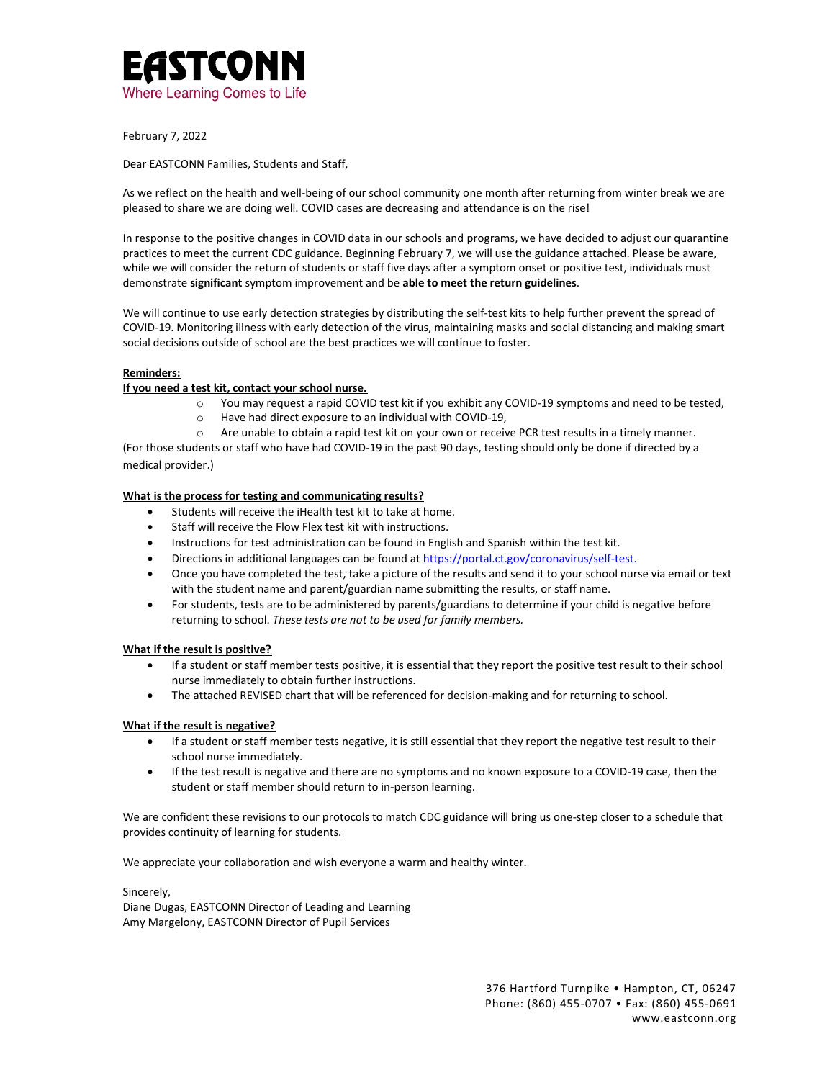

February 7, 2022

Dear EASTCONN Families, Students and Staff,

As we reflect on the health and well-being of our school community one month after returning from winter break we are pleased to share we are doing well. COVID cases are decreasing and attendance is on the rise!

In response to the positive changes in COVID data in our schools and programs, we have decided to adjust our quarantine practices to meet the current CDC guidance. Beginning February 7, we will use the guidance attached. Please be aware, while we will consider the return of students or staff five days after a symptom onset or positive test, individuals must demonstrate **significant** symptom improvement and be **able to meet the return guidelines**.

We will continue to use early detection strategies by distributing the self-test kits to help further prevent the spread of COVID-19. Monitoring illness with early detection of the virus, maintaining masks and social distancing and making smart social decisions outside of school are the best practices we will continue to foster.

# **Reminders:**

# **If you need a test kit, contact your school nurse.**

- o You may request a rapid COVID test kit if you exhibit any COVID-19 symptoms and need to be tested,
- o Have had direct exposure to an individual with COVID-19,
- o Are unable to obtain a rapid test kit on your own or receive PCR test results in a timely manner.

(For those students or staff who have had COVID-19 in the past 90 days, testing should only be done if directed by a medical provider.)

## **What is the process for testing and communicating results?**

- Students will receive the iHealth test kit to take at home.
- Staff will receive the Flow Flex test kit with instructions.
- Instructions for test administration can be found in English and Spanish within the test kit.
- Directions in additional languages can be found a[t https://portal.ct.gov/coronavirus/self-test.](https://portal.ct.gov/coronavirus/self-test)
- Once you have completed the test, take a picture of the results and send it to your school nurse via email or text with the student name and parent/guardian name submitting the results, or staff name.
- For students, tests are to be administered by parents/guardians to determine if your child is negative before returning to school. *These tests are not to be used for family members.*

## **What if the result is positive?**

- If a student or staff member tests positive, it is essential that they report the positive test result to their school nurse immediately to obtain further instructions.
- The attached REVISED chart that will be referenced for decision-making and for returning to school.

## **What if the result is negative?**

- If a student or staff member tests negative, it is still essential that they report the negative test result to their school nurse immediately.
- If the test result is negative and there are no symptoms and no known exposure to a COVID-19 case, then the student or staff member should return to in-person learning.

We are confident these revisions to our protocols to match CDC guidance will bring us one-step closer to a schedule that provides continuity of learning for students.

We appreciate your collaboration and wish everyone a warm and healthy winter.

Sincerely, Diane Dugas, EASTCONN Director of Leading and Learning Amy Margelony, EASTCONN Director of Pupil Services